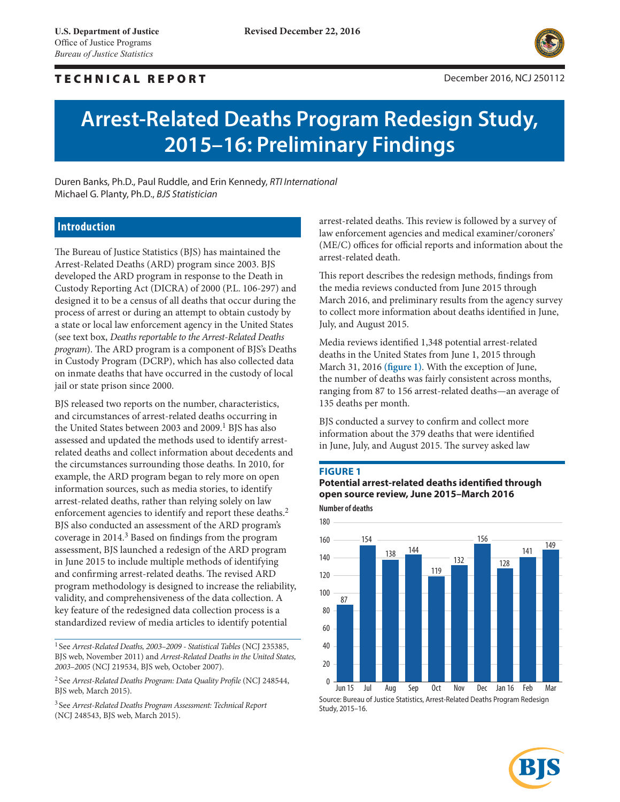# TECHNICAL REPORT December 2016, NCJ 250112



# **Arrest-Related Deaths Program Redesign Study, 2015–16: Preliminary Findings**

Duren Banks, Ph.D., Paul Ruddle, and Erin Kennedy, *RTI International* Michael G. Planty, Ph.D., *BJS Statistician*

### **Introduction**

The Bureau of Justice Statistics (BJS) has maintained the Arrest-Related Deaths (ARD) program since 2003. BJS developed the ARD program in response to the Death in Custody Reporting Act (DICRA) of 2000 (P.L. 106-297) and designed it to be a census of all deaths that occur during the process of arrest or during an attempt to obtain custody by a state or local law enforcement agency in the United States (see text box, *Deaths reportable to the Arrest-Related Deaths program*). The ARD program is a component of BJS's Deaths in Custody Program (DCRP), which has also collected data on inmate deaths that have occurred in the custody of local jail or state prison since 2000.

BJS released two reports on the number, characteristics, and circumstances of arrest-related deaths occurring in the United States between 2003 and 2009.<sup>1</sup> BJS has also assessed and updated the methods used to identify arrestrelated deaths and collect information about decedents and the circumstances surrounding those deaths. In 2010, for example, the ARD program began to rely more on open information sources, such as media stories, to identify arrest-related deaths, rather than relying solely on law enforcement agencies to identify and report these deaths.<sup>2</sup> BJS also conducted an assessment of the ARD program's coverage in 2014.3 Based on findings from the program assessment, BJS launched a redesign of the ARD program in June 2015 to include multiple methods of identifying and confirming arrest-related deaths. The revised ARD program methodology is designed to increase the reliability, validity, and comprehensiveness of the data collection. A key feature of the redesigned data collection process is a standardized review of media articles to identify potential

<sup>1</sup> See *Arrest-Related Deaths, 2003–2009 - Statistical Tables* (NCJ 235385, BJS web, November 2011) and *Arrest-Related Deaths in the United States, 2003–2005* (NCJ 219534, BJS web, October 2007).

<sup>2</sup> See *Arrest-Related Deaths Program: Data Quality Profile* (NCJ 248544, BJS web, March 2015).

<sup>3</sup> See *Arrest-Related Deaths Program Assessment: Technical Report* (NCJ 248543, BJS web, March 2015).

arrest-related deaths. This review is followed by a survey of law enforcement agencies and medical examiner/coroners' (ME/C) offices for official reports and information about the arrest-related death.

This report describes the redesign methods, findings from the media reviews conducted from June 2015 through March 2016, and preliminary results from the agency survey to collect more information about deaths identified in June, July, and August 2015.

Media reviews identified 1,348 potential arrest-related deaths in the United States from June 1, 2015 through March 31, 2016 **(figure 1)**. With the exception of June, the number of deaths was fairly consistent across months, ranging from 87 to 156 arrest-related deaths—an average of 135 deaths per month.

BJS conducted a survey to confirm and collect more information about the 379 deaths that were identified in June, July, and August 2015. The survey asked law

### **Figure 1**

**Number of deaths Potential arrest-related deaths identified through open source review, June 2015–March 2016**



Source: Bureau of Justice Statistics, Arrest-Related Deaths Program Redesign Study, 2015–16.

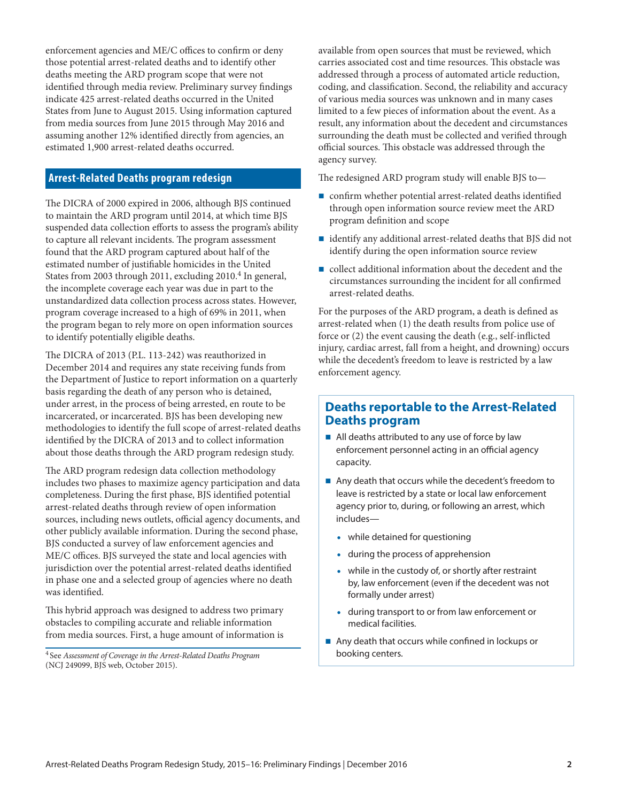enforcement agencies and ME/C offices to confirm or deny those potential arrest-related deaths and to identify other deaths meeting the ARD program scope that were not identified through media review. Preliminary survey findings indicate 425 arrest-related deaths occurred in the United States from June to August 2015. Using information captured from media sources from June 2015 through May 2016 and assuming another 12% identified directly from agencies, an estimated 1,900 arrest-related deaths occurred.

# **Arrest-Related Deaths program redesign**

The DICRA of 2000 expired in 2006, although BJS continued to maintain the ARD program until 2014, at which time BJS suspended data collection efforts to assess the program's ability to capture all relevant incidents. The program assessment found that the ARD program captured about half of the estimated number of justifiable homicides in the United States from 2003 through 2011, excluding 2010.<sup>4</sup> In general, the incomplete coverage each year was due in part to the unstandardized data collection process across states. However, program coverage increased to a high of 69% in 2011, when the program began to rely more on open information sources to identify potentially eligible deaths.

The DICRA of 2013 (P.L. 113-242) was reauthorized in December 2014 and requires any state receiving funds from the Department of Justice to report information on a quarterly basis regarding the death of any person who is detained, under arrest, in the process of being arrested, en route to be incarcerated, or incarcerated. BJS has been developing new methodologies to identify the full scope of arrest-related deaths identified by the DICRA of 2013 and to collect information about those deaths through the ARD program redesign study.

The ARD program redesign data collection methodology includes two phases to maximize agency participation and data completeness. During the first phase, BJS identified potential arrest-related deaths through review of open information sources, including news outlets, official agency documents, and other publicly available information. During the second phase, BJS conducted a survey of law enforcement agencies and ME/C offices. BJS surveyed the state and local agencies with jurisdiction over the potential arrest-related deaths identified in phase one and a selected group of agencies where no death was identified.

This hybrid approach was designed to address two primary obstacles to compiling accurate and reliable information from media sources. First, a huge amount of information is available from open sources that must be reviewed, which carries associated cost and time resources. This obstacle was addressed through a process of automated article reduction, coding, and classification. Second, the reliability and accuracy of various media sources was unknown and in many cases limited to a few pieces of information about the event. As a result, any information about the decedent and circumstances surrounding the death must be collected and verified through official sources. This obstacle was addressed through the agency survey.

The redesigned ARD program study will enable BJS to—

- confirm whether potential arrest-related deaths identified through open information source review meet the ARD program definition and scope
- identify any additional arrest-related deaths that BJS did not identify during the open information source review
- collect additional information about the decedent and the circumstances surrounding the incident for all confirmed arrest-related deaths.

For the purposes of the ARD program, a death is defined as arrest-related when (1) the death results from police use of force or (2) the event causing the death (e.g., self-inflicted injury, cardiac arrest, fall from a height, and drowning) occurs while the decedent's freedom to leave is restricted by a law enforcement agency.

# **Deaths reportable to the Arrest-Related Deaths program**

- All deaths attributed to any use of force by law enforcement personnel acting in an official agency capacity.
- Any death that occurs while the decedent's freedom to leave is restricted by a state or local law enforcement agency prior to, during, or following an arrest, which includes—
	- while detained for questioning
	- during the process of apprehension
	- while in the custody of, or shortly after restraint by, law enforcement (even if the decedent was not formally under arrest)
	- during transport to or from law enforcement or medical facilities.
- Any death that occurs while confined in lockups or booking centers.

<sup>4</sup> See *Assessment of Coverage in the Arrest-Related Deaths Program* (NCJ 249099, BJS web, October 2015).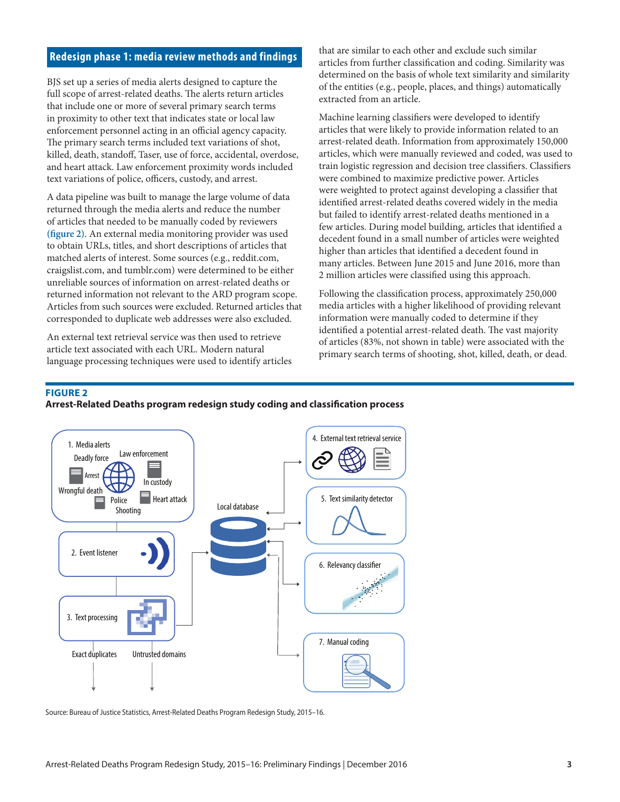### **Redesign phase 1: media review methods and findings**

BJS set up a series of media alerts designed to capture the full scope of arrest-related deaths. The alerts return articles that include one or more of several primary search terms in proximity to other text that indicates state or local law enforcement personnel acting in an official agency capacity. The primary search terms included text variations of shot, killed, death, standoff, Taser, use of force, accidental, overdose, and heart attack. Law enforcement proximity words included text variations of police, officers, custody, and arrest.

A data pipeline was built to manage the large volume of data returned through the media alerts and reduce the number of articles that needed to be manually coded by reviewers **(figure 2)**. An external media monitoring provider was used to obtain URLs, titles, and short descriptions of articles that matched alerts of interest. Some sources (e.g., reddit.com, craigslist.com, and tumblr.com) were determined to be either unreliable sources of information on arrest-related deaths or returned information not relevant to the ARD program scope. Articles from such sources were excluded. Returned articles that corresponded to duplicate web addresses were also excluded.

An external text retrieval service was then used to retrieve article text associated with each URL. Modern natural language processing techniques were used to identify articles that are similar to each other and exclude such similar articles from further classification and coding. Similarity was determined on the basis of whole text similarity and similarity of the entities (e.g., people, places, and things) automatically extracted from an article.

Machine learning classifiers were developed to identify articles that were likely to provide information related to an arrest-related death. Information from approximately 150,000 articles, which were manually reviewed and coded, was used to train logistic regression and decision tree classifiers. Classifiers were combined to maximize predictive power. Articles were weighted to protect against developing a classifier that identified arrest-related deaths covered widely in the media but failed to identify arrest-related deaths mentioned in a few articles. During model building, articles that identified a decedent found in a small number of articles were weighted higher than articles that identified a decedent found in many articles. Between June 2015 and June 2016, more than 2 million articles were classified using this approach.

Following the classification process, approximately 250,000 media articles with a higher likelihood of providing relevant information were manually coded to determine if they identified a potential arrest-related death. The vast majority of articles (83%, not shown in table) were associated with the primary search terms of shooting, shot, killed, death, or dead.

### **Figure 2**

### **Arrest-Related Deaths program redesign study coding and classification process**



Source: Bureau of Justice Statistics, Arrest-Related Deaths Program Redesign Study, 2015–16.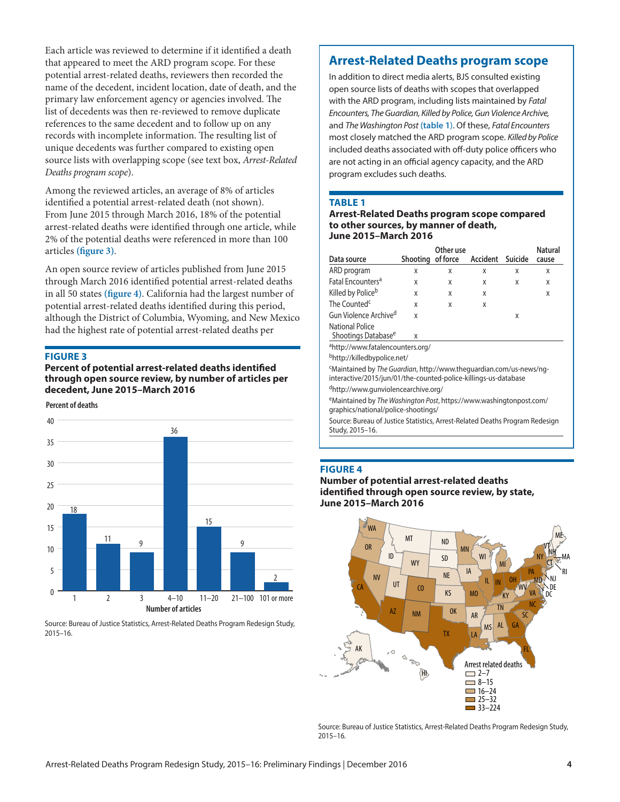Each article was reviewed to determine if it identified a death that appeared to meet the ARD program scope. For these potential arrest-related deaths, reviewers then recorded the name of the decedent, incident location, date of death, and the primary law enforcement agency or agencies involved. The list of decedents was then re-reviewed to remove duplicate references to the same decedent and to follow up on any records with incomplete information. The resulting list of unique decedents was further compared to existing open source lists with overlapping scope (see text box, *Arrest-Related Deaths program scope*).

Among the reviewed articles, an average of 8% of articles identified a potential arrest-related death (not shown). From June 2015 through March 2016, 18% of the potential arrest-related deaths were identified through one article, while 2% of the potential deaths were referenced in more than 100 articles **(figure 3)**.

An open source review of articles published from June 2015 through March 2016 identified potential arrest-related deaths in all 50 states **(figure 4)**. California had the largest number of potential arrest-related deaths identified during this period, although the District of Columbia, Wyoming, and New Mexico had the highest rate of potential arrest-related deaths per

### **Figure 3**

**Percent of potential arrest-related deaths identified through open source review, by number of articles per decedent, June 2015–March 2016**

**Percent of deaths**



Source: Bureau of Justice Statistics, Arrest-Related Deaths Program Redesign Study, 2015–16.

# **Arrest-Related Deaths program scope**

In addition to direct media alerts, BJS consulted existing open source lists of deaths with scopes that overlapped with the ARD program, including lists maintained by *Fatal Encounters, The Guardian, Killed by Police, Gun Violence Archive,* and *The Washington Post* **(table 1**). Of these, *Fatal Encounters* most closely matched the ARD program scope. *Killed by Police* included deaths associated with off-duty police officers who are not acting in an official agency capacity, and the ARD program excludes such deaths.

### **Table 1**

#### **Arrest-Related Deaths program scope compared to other sources, by manner of death, June 2015–March 2016**

|                                                                                         |                   | Other use |          |         | <b>Natural</b> |  |
|-----------------------------------------------------------------------------------------|-------------------|-----------|----------|---------|----------------|--|
| Data source                                                                             | Shooting of force |           | Accident | Suicide | cause          |  |
| ARD program                                                                             | X                 | x         | X        | X       | X              |  |
| Fatal Encounters <sup>a</sup>                                                           | X                 | X         | X        | X       | X              |  |
| Killed by Police <sup>b</sup>                                                           | X                 | X         | x        |         | X              |  |
| The Counted <sup>c</sup>                                                                | X                 | X         | x        |         |                |  |
| Gun Violence Archive <sup>d</sup>                                                       | X                 |           |          | X       |                |  |
| National Police<br>Shootings Database <sup>e</sup>                                      | x                 |           |          |         |                |  |
| <sup>a</sup> http://www.fatalencounters.org/                                            |                   |           |          |         |                |  |
| bhttp://killedbypolice.net/                                                             |                   |           |          |         |                |  |
| <sup>c</sup> Maintained by <i>The Guardian</i> , http://www.theguardian.com/us-news/ng- |                   |           |          |         |                |  |
| interactive/2015/jun/01/the-counted-police-killings-us-database                         |                   |           |          |         |                |  |
| <sup>d</sup> http://www.qunviolencearchive.org/                                         |                   |           |          |         |                |  |
| <sup>e</sup> Maintained by <i>The Washington Post https://www.washingtonpost.com/</i>   |                   |           |          |         |                |  |

eMaintained by *The Washington Post*, https://www.washingtonpost.com/ graphics/national/police-shootings/

Source: Bureau of Justice Statistics, Arrest-Related Deaths Program Redesign Study, 2015–16.

### **Figure 4**

**Number of potential arrest-related deaths identified through open source review, by state, June 2015–March 2016**



Source: Bureau of Justice Statistics, Arrest-Related Deaths Program Redesign Study, 2015–16.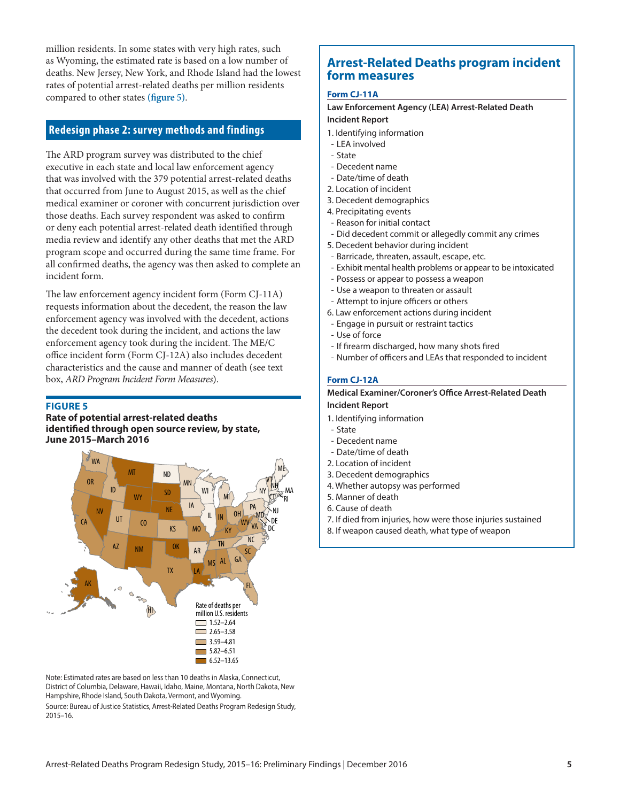million residents. In some states with very high rates, such as Wyoming, the estimated rate is based on a low number of deaths. New Jersey, New York, and Rhode Island had the lowest rates of potential arrest-related deaths per million residents compared to other states **(figure 5)**.

# **Redesign phase 2: survey methods and findings**

The ARD program survey was distributed to the chief executive in each state and local law enforcement agency that was involved with the 379 potential arrest-related deaths that occurred from June to August 2015, as well as the chief medical examiner or coroner with concurrent jurisdiction over those deaths. Each survey respondent was asked to confirm or deny each potential arrest-related death identified through media review and identify any other deaths that met the ARD program scope and occurred during the same time frame. For all confirmed deaths, the agency was then asked to complete an incident form.

The law enforcement agency incident form (Form CJ-11A) requests information about the decedent, the reason the law enforcement agency was involved with the decedent, actions the decedent took during the incident, and actions the law enforcement agency took during the incident. The ME/C office incident form (Form CJ-12A) also includes decedent characteristics and the cause and manner of death (see text box, *ARD Program Incident Form Measures*).

#### **Figure 5**

**Rate of potential arrest-related deaths identified through open source review, by state, June 2015–March 2016**



Note: Estimated rates are based on less than 10 deaths in Alaska, Connecticut, District of Columbia, Delaware, Hawaii, Idaho, Maine, Montana, North Dakota, New Hampshire, Rhode Island, South Dakota, Vermont, and Wyoming. Source: Bureau of Justice Statistics, Arrest-Related Deaths Program Redesign Study, 2015–16.

# **Arrest-Related Deaths program incident form measures**

#### **Form CJ-11A**

**Law Enforcement Agency (LEA) Arrest-Related Death** 

### **Incident Report**

- 1. Identifying information
- LEA involved
- State
- Decedent name - Date/time of death
- 2. Location of incident
- 3. Decedent demographics
- 4. Precipitating events
- Reason for initial contact
- Did decedent commit or allegedly commit any crimes
- 5. Decedent behavior during incident
- Barricade, threaten, assault, escape, etc.
- Exhibit mental health problems or appear to be intoxicated
- Possess or appear to possess a weapon
- Use a weapon to threaten or assault
- Attempt to injure officers or others
- 6. Law enforcement actions during incident
- Engage in pursuit or restraint tactics
- Use of force
- If firearm discharged, how many shots fired
- Number of officers and LEAs that responded to incident

### **Form CJ-12A**

### **Medical Examiner/Coroner's Office Arrest-Related Death Incident Report**

- 1. Identifying information
- State
- Decedent name
- Date/time of death
- 2. Location of incident
- 3. Decedent demographics
- 4. Whether autopsy was performed
- 5. Manner of death
- 6. Cause of death
- 7. If died from injuries, how were those injuries sustained
- 8. If weapon caused death, what type of weapon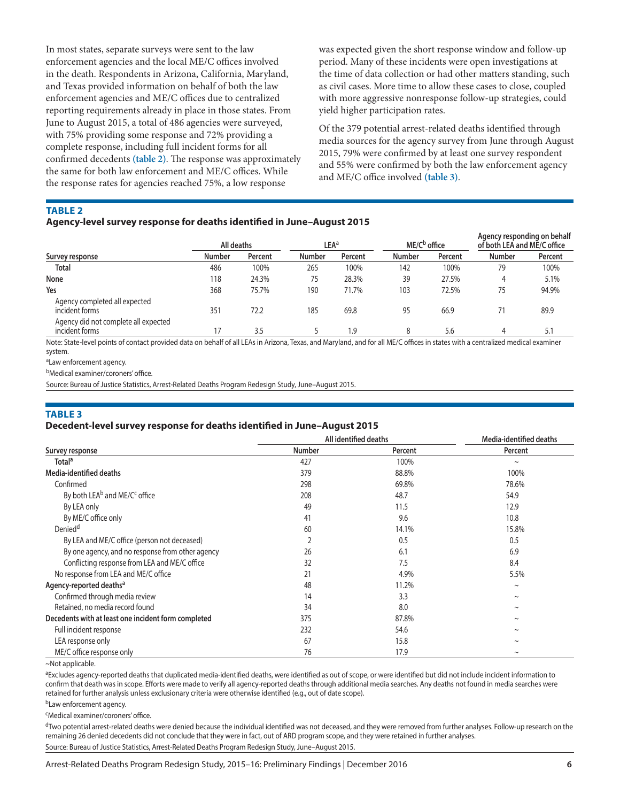In most states, separate surveys were sent to the law enforcement agencies and the local ME/C offices involved in the death. Respondents in Arizona, California, Maryland, and Texas provided information on behalf of both the law enforcement agencies and ME/C offices due to centralized reporting requirements already in place in those states. From June to August 2015, a total of 486 agencies were surveyed, with 75% providing some response and 72% providing a complete response, including full incident forms for all confirmed decedents **(table 2)**. The response was approximately the same for both law enforcement and ME/C offices. While the response rates for agencies reached 75%, a low response

was expected given the short response window and follow-up period. Many of these incidents were open investigations at the time of data collection or had other matters standing, such as civil cases. More time to allow these cases to close, coupled with more aggressive nonresponse follow-up strategies, could yield higher participation rates.

Of the 379 potential arrest-related deaths identified through media sources for the agency survey from June through August 2015, 79% were confirmed by at least one survey respondent and 55% were confirmed by both the law enforcement agency and ME/C office involved **(table 3)**.

**Table 2**

### **Agency-level survey response for deaths identified in June–August 2015**

| Survey response                                        | All deaths    |         |               | <b>LEA<sup>a</sup></b> |               | ME/C <sup>b</sup> office |               | Agency responding on behalf<br>of both LEA and ME/C office |  |
|--------------------------------------------------------|---------------|---------|---------------|------------------------|---------------|--------------------------|---------------|------------------------------------------------------------|--|
|                                                        | <b>Number</b> | Percent | <b>Number</b> | Percent                | <b>Number</b> | Percent                  | <b>Number</b> | Percent                                                    |  |
| Total                                                  | 486           | 100%    | 265           | 100%                   | 142           | 100%                     | 79            | 100%                                                       |  |
| None                                                   | 118           | 24.3%   | 75            | 28.3%                  | 39            | 27.5%                    | 4             | 5.1%                                                       |  |
| Yes                                                    | 368           | 75.7%   | 190           | 71.7%                  | 103           | 72.5%                    | 75            | 94.9%                                                      |  |
| Agency completed all expected<br>incident forms        | 351           | 72.2    | 185           | 69.8                   | 95            | 66.9                     |               | 89.9                                                       |  |
| Agency did not complete all expected<br>incident forms | 17            | 3.5     |               | 1.9                    | 8             | 5.6                      |               | 5.1                                                        |  |

Note: State-level points of contact provided data on behalf of all LEAs in Arizona, Texas, and Maryland, and for all ME/C offices in states with a centralized medical examiner system.

aLaw enforcement agency.

bMedical examiner/coroners' office.

Source: Bureau of Justice Statistics, Arrest-Related Deaths Program Redesign Study, June–August 2015.

### **Table 3**

### **Decedent-level survey response for deaths identified in June–August 2015**

|                                                       | All identified deaths | Media-identified deaths |            |
|-------------------------------------------------------|-----------------------|-------------------------|------------|
| Survey response                                       | <b>Number</b>         | Percent                 | Percent    |
| <b>Total</b> <sup>a</sup>                             | 427                   | 100%                    | $\tilde{}$ |
| Media-identified deaths                               | 379                   | 88.8%                   | 100%       |
| Confirmed                                             | 298                   | 69.8%                   | 78.6%      |
| By both LEA <sup>b</sup> and ME/C <sup>c</sup> office | 208                   | 48.7                    | 54.9       |
| By LEA only                                           | 49                    | 11.5                    | 12.9       |
| By ME/C office only                                   | 41                    | 9.6                     | 10.8       |
| Denied <sup>d</sup>                                   | 60                    | 14.1%                   | 15.8%      |
| By LEA and ME/C office (person not deceased)          |                       | 0.5                     | 0.5        |
| By one agency, and no response from other agency      | 26                    | 6.1                     | 6.9        |
| Conflicting response from LEA and ME/C office         | 32                    | 7.5                     | 8.4        |
| No response from LEA and ME/C office                  | 21                    | 4.9%                    | 5.5%       |
| Agency-reported deaths <sup>a</sup>                   | 48                    | 11.2%                   | $\sim$     |
| Confirmed through media review                        | 14                    | 3.3                     | $\sim$     |
| Retained, no media record found                       | 34                    | 8.0                     | $\sim$     |
| Decedents with at least one incident form completed   | 375                   | 87.8%                   | $\sim$     |
| Full incident response                                | 232                   | 54.6                    | $\tilde{}$ |
| LEA response only                                     | 67                    | 15.8                    | $\sim$     |
| ME/C office response only                             | 76                    | 17.9                    | $\sim$     |

<sup>~</sup>Not applicable.

aExcludes agency-reported deaths that duplicated media-identified deaths, were identified as out of scope, or were identified but did not include incident information to confirm that death was in scope. Efforts were made to verify all agency-reported deaths through additional media searches. Any deaths not found in media searches were retained for further analysis unless exclusionary criteria were otherwise identified (e.g., out of date scope).

bLaw enforcement agency.

cMedical examiner/coroners' office.

dTwo potential arrest-related deaths were denied because the individual identified was not deceased, and they were removed from further analyses. Follow-up research on the remaining 26 denied decedents did not conclude that they were in fact, out of ARD program scope, and they were retained in further analyses. Source: Bureau of Justice Statistics, Arrest-Related Deaths Program Redesign Study, June–August 2015.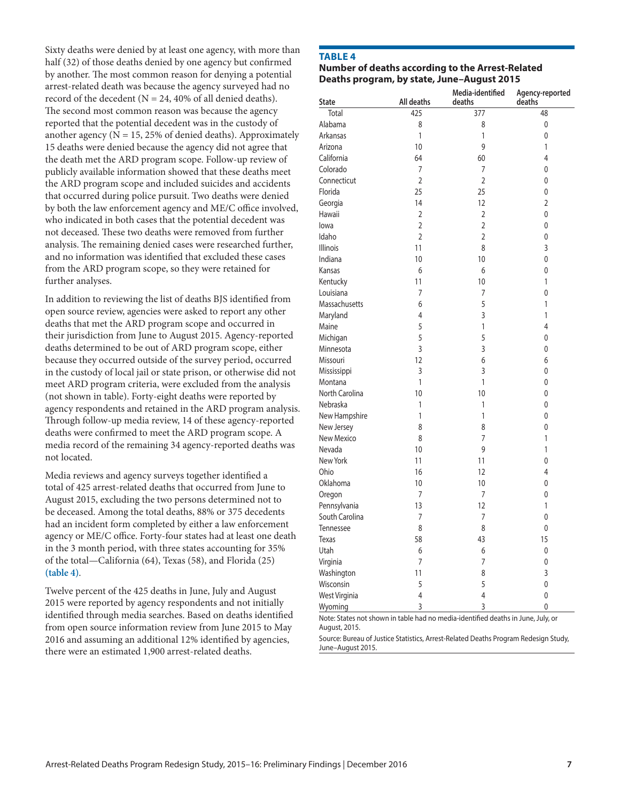Sixty deaths were denied by at least one agency, with more than half (32) of those deaths denied by one agency but confirmed by another. The most common reason for denying a potential arrest-related death was because the agency surveyed had no record of the decedent ( $N = 24,40\%$  of all denied deaths). The second most common reason was because the agency reported that the potential decedent was in the custody of another agency ( $N = 15, 25\%$  of denied deaths). Approximately 15 deaths were denied because the agency did not agree that the death met the ARD program scope. Follow-up review of publicly available information showed that these deaths meet the ARD program scope and included suicides and accidents that occurred during police pursuit. Two deaths were denied by both the law enforcement agency and ME/C office involved, who indicated in both cases that the potential decedent was not deceased. These two deaths were removed from further analysis. The remaining denied cases were researched further, and no information was identified that excluded these cases from the ARD program scope, so they were retained for further analyses.

In addition to reviewing the list of deaths BJS identified from open source review, agencies were asked to report any other deaths that met the ARD program scope and occurred in their jurisdiction from June to August 2015. Agency-reported deaths determined to be out of ARD program scope, either because they occurred outside of the survey period, occurred in the custody of local jail or state prison, or otherwise did not meet ARD program criteria, were excluded from the analysis (not shown in table). Forty-eight deaths were reported by agency respondents and retained in the ARD program analysis. Through follow-up media review, 14 of these agency-reported deaths were confirmed to meet the ARD program scope. A media record of the remaining 34 agency-reported deaths was not located.

Media reviews and agency surveys together identified a total of 425 arrest-related deaths that occurred from June to August 2015, excluding the two persons determined not to be deceased. Among the total deaths, 88% or 375 decedents had an incident form completed by either a law enforcement agency or ME/C office. Forty-four states had at least one death in the 3 month period, with three states accounting for 35% of the total—California (64), Texas (58), and Florida (25) **(table 4)**.

Twelve percent of the 425 deaths in June, July and August 2015 were reported by agency respondents and not initially identified through media searches. Based on deaths identified from open source information review from June 2015 to May 2016 and assuming an additional 12% identified by agencies, there were an estimated 1,900 arrest-related deaths.

### **Table 4**

### **Number of deaths according to the Arrest-Related Deaths program, by state, June–August 2015**

| <b>State</b>    | All deaths     | Media-identified<br>deaths | Agency-reported<br>deaths |  |
|-----------------|----------------|----------------------------|---------------------------|--|
| Total           | 425            | 377                        | 48                        |  |
| Alabama         | 8              | 8                          | 0                         |  |
| Arkansas        | 1              | 1                          | 0                         |  |
| Arizona         | 10             | 9                          | 1                         |  |
| California      | 64             | 60                         | 4                         |  |
| Colorado        | 7              | 7                          | 0                         |  |
| Connecticut     | $\overline{2}$ | $\overline{2}$             | 0                         |  |
| Florida         | 25             | 25                         | 0                         |  |
| Georgia         | 14             | 12                         | $\overline{2}$            |  |
| Hawaii          | $\overline{2}$ | $\overline{2}$             | 0                         |  |
| lowa            | $\overline{2}$ | $\overline{2}$             | 0                         |  |
| Idaho           | $\overline{2}$ | $\overline{2}$             | 0                         |  |
| <b>Illinois</b> | 11             | 8                          | 3                         |  |
| Indiana         | 10             | 10                         | 0                         |  |
| Kansas          | 6              | 6                          | 0                         |  |
| Kentucky        | 11             | 10                         | 1                         |  |
| Louisiana       | 7              | 7                          | 0                         |  |
| Massachusetts   | 6              | 5                          | 1                         |  |
| Maryland        | 4              | 3                          | 1                         |  |
| Maine           | 5              | 1                          | 4                         |  |
| Michigan        | 5              | 5                          | 0                         |  |
| Minnesota       | 3              | 3                          | 0                         |  |
| Missouri        | 12             | 6                          | 6                         |  |
| Mississippi     | 3              | 3                          | 0                         |  |
| Montana         | 1              | 1                          | 0                         |  |
| North Carolina  | 10             | 10                         | 0                         |  |
| Nebraska        | 1              | 1                          | 0                         |  |
| New Hampshire   | 1              | 1                          | 0                         |  |
| New Jersey      | 8              | 8                          | 0                         |  |
| New Mexico      | 8              | 7                          | 1                         |  |
| Nevada          | 10             | 9                          | $\mathbf{1}$              |  |
| New York        | 11             | 11                         | 0                         |  |
| Ohio            | 16             | 12                         | 4                         |  |
| Oklahoma        | 10             | 10                         | $\mathbf 0$               |  |
| Oregon          | 7              | 7                          | 0                         |  |
| Pennsylvania    | 13             | 12                         | $\mathbf{1}$              |  |
| South Carolina  | 7              | 7                          | 0                         |  |
| Tennessee       | 8              | 8                          | $\mathbf{0}$              |  |
| Texas           | 58             | 43                         | 15                        |  |
| Utah            | 6              | 6                          | 0                         |  |
| Virginia        | 7              | 7                          | 0                         |  |
| Washington      | 11             | 8                          | 3                         |  |
| Wisconsin       | 5              | 5                          | 0                         |  |
| West Virginia   | $\overline{4}$ | $\overline{4}$             | 0                         |  |
| Wyoming         | 3              | 3                          | 0                         |  |

Note: States not shown in table had no media-identified deaths in June, July, or August, 2015.

Source: Bureau of Justice Statistics, Arrest-Related Deaths Program Redesign Study, June–August 2015.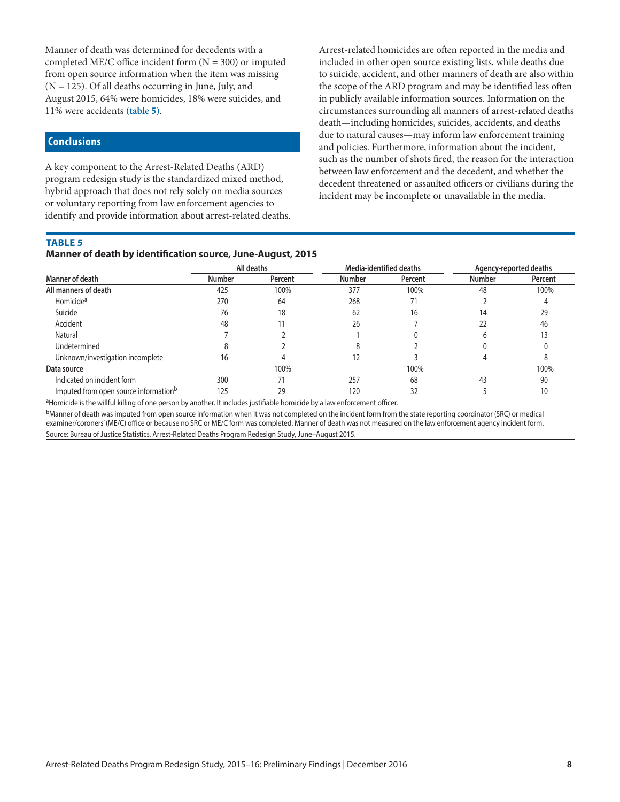Manner of death was determined for decedents with a completed ME/C office incident form  $(N = 300)$  or imputed from open source information when the item was missing (N = 125). Of all deaths occurring in June, July, and August 2015, 64% were homicides, 18% were suicides, and 11% were accidents **(table 5)**.

# **Conclusions**

A key component to the Arrest-Related Deaths (ARD) program redesign study is the standardized mixed method, hybrid approach that does not rely solely on media sources or voluntary reporting from law enforcement agencies to identify and provide information about arrest-related deaths.

### **Table 5**

### **Manner of death by identification source, June-August, 2015**

Arrest-related homicides are often reported in the media and included in other open source existing lists, while deaths due to suicide, accident, and other manners of death are also within the scope of the ARD program and may be identified less often in publicly available information sources. Information on the circumstances surrounding all manners of arrest-related deaths death—including homicides, suicides, accidents, and deaths due to natural causes—may inform law enforcement training and policies. Furthermore, information about the incident, such as the number of shots fired, the reason for the interaction between law enforcement and the decedent, and whether the decedent threatened or assaulted officers or civilians during the incident may be incomplete or unavailable in the media.

| <u>Manner or death by Identification Source, June-August, 2015</u> |               |         |                         |         |                        |         |  |  |
|--------------------------------------------------------------------|---------------|---------|-------------------------|---------|------------------------|---------|--|--|
| Manner of death                                                    | All deaths    |         | Media-identified deaths |         | Agency-reported deaths |         |  |  |
|                                                                    | <b>Number</b> | Percent | <b>Number</b>           | Percent | <b>Number</b>          | Percent |  |  |
| All manners of death                                               | 425           | 100%    | 377                     | 100%    | 48                     | 100%    |  |  |
| Homicide <sup>a</sup>                                              | 270           | 64      | 268                     |         |                        |         |  |  |
| Suicide                                                            | 76            | 18      | 62                      | 16      | 14                     | 29      |  |  |
| Accident                                                           | 48            |         | 26                      |         |                        | 46      |  |  |
| Natural                                                            |               |         |                         |         |                        |         |  |  |
| Undetermined                                                       |               |         |                         |         |                        |         |  |  |
| Unknown/investigation incomplete                                   | 16            |         |                         |         |                        |         |  |  |
| Data source                                                        |               | 100%    |                         | 100%    |                        | 100%    |  |  |
| Indicated on incident form                                         | 300           |         | 257                     | 68      | 43                     | 90      |  |  |
| Imputed from open source information <sup>b</sup>                  | 125           | 29      | 120                     | 32      |                        | 10      |  |  |

<sup>a</sup>Homicide is the willful killing of one person by another. It includes justifiable homicide by a law enforcement officer.

bManner of death was imputed from open source information when it was not completed on the incident form from the state reporting coordinator (SRC) or medical examiner/coroners' (ME/C) office or because no SRC or ME/C form was completed. Manner of death was not measured on the law enforcement agency incident form. Source: Bureau of Justice Statistics, Arrest-Related Deaths Program Redesign Study, June–August 2015.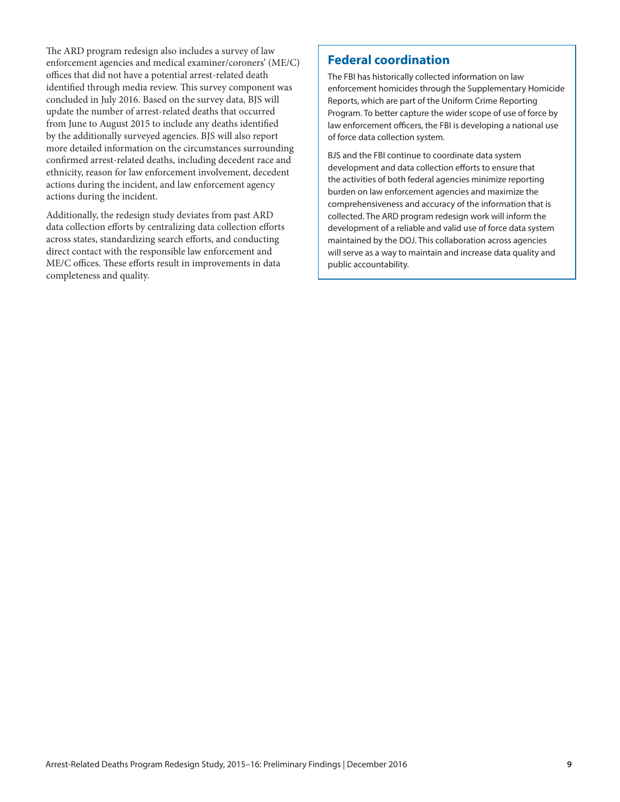The ARD program redesign also includes a survey of law enforcement agencies and medical examiner/coroners' (ME/C) offices that did not have a potential arrest-related death identified through media review. This survey component was concluded in July 2016. Based on the survey data, BJS will update the number of arrest-related deaths that occurred from June to August 2015 to include any deaths identified by the additionally surveyed agencies. BJS will also report more detailed information on the circumstances surrounding confirmed arrest-related deaths, including decedent race and ethnicity, reason for law enforcement involvement, decedent actions during the incident, and law enforcement agency actions during the incident.

Additionally, the redesign study deviates from past ARD data collection efforts by centralizing data collection efforts across states, standardizing search efforts, and conducting direct contact with the responsible law enforcement and ME/C offices. These efforts result in improvements in data completeness and quality.

# **Federal coordination**

The FBI has historically collected information on law enforcement homicides through the Supplementary Homicide Reports, which are part of the Uniform Crime Reporting Program. To better capture the wider scope of use of force by law enforcement officers, the FBI is developing a national use of force data collection system.

BJS and the FBI continue to coordinate data system development and data collection efforts to ensure that the activities of both federal agencies minimize reporting burden on law enforcement agencies and maximize the comprehensiveness and accuracy of the information that is collected. The ARD program redesign work will inform the development of a reliable and valid use of force data system maintained by the DOJ. This collaboration across agencies will serve as a way to maintain and increase data quality and public accountability.